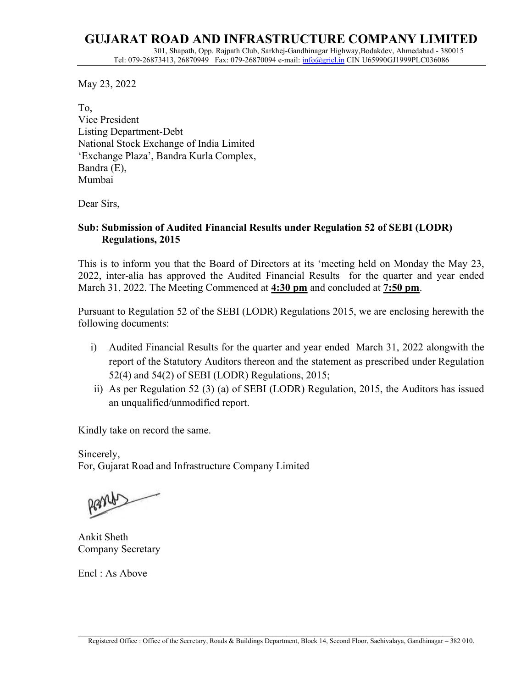## GUJARAT ROAD AND INFRASTRUCTURE COMPANY LIMITED 301, Shapath, Opp. Rajpath Club, Sarkhej-Gandhinagar Highway,Bodakdev, Ahmedabad - 380015 Tel: 079-26873413, 26870949 Fax: 079-26870094 e-mail: *info@gricl.in CIN U65990GJ1999PLC036086*

May 23, 2022

To, Vice President Listing Department-Debt National Stock Exchange of India Limited 'Exchange Plaza', Bandra Kurla Complex, Bandra (E), Mumbai

Dear Sirs,

## Sub: Submission of Audited Financial Results under Regulation 52 of SEBI (LODR) Regulations, 2015

This is to inform you that the Board of Directors at its 'meeting held on Monday the May 23, 2022, inter-alia has approved the Audited Financial Results for the quarter and year ended March 31, 2022. The Meeting Commenced at 4:30 pm and concluded at 7:50 pm.

Pursuant to Regulation 52 of the SEBI (LODR) Regulations 2015, we are enclosing herewith the following documents:

- i) Audited Financial Results for the quarter and year ended March 31, 2022 alongwith the report of the Statutory Auditors thereon and the statement as prescribed under Regulation 52(4) and 54(2) of SEBI (LODR) Regulations, 2015;
- ii) As per Regulation 52 (3) (a) of SEBI (LODR) Regulation, 2015, the Auditors has issued an unqualified/unmodified report.

Kindly take on record the same.

Sincerely, For, Gujarat Road and Infrastructure Company Limited

pants

Ankit Sheth Company Secretary

Encl : As Above